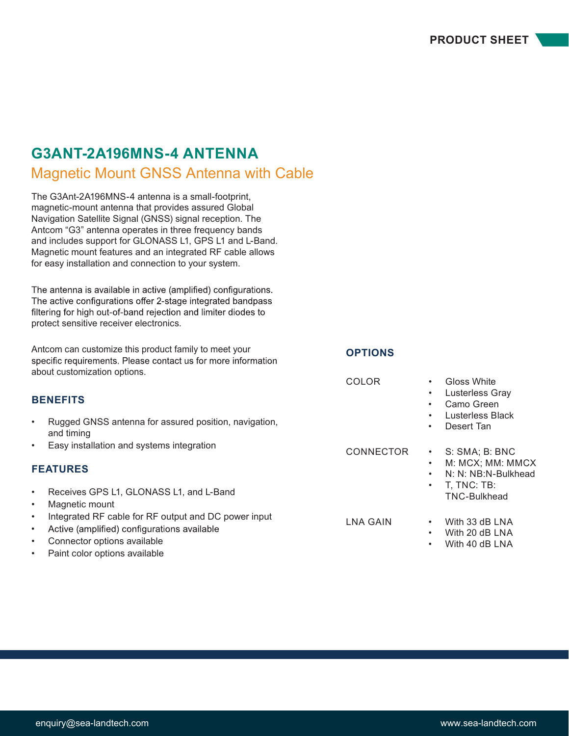# **G3ANT-2A196MNS-4 ANTENNA**

## Magnetic Mount GNSS Antenna with Cable

The G3Ant-2A196MNS-4 antenna is a small-footprint, magnetic-mount antenna that provides assured Global Navigation Satellite Signal (GNSS) signal reception. The Antcom "G3" antenna operates in three frequency bands and includes support for GLONASS L1, GPS L1 and L-Band. Magnetic mount features and an integrated RF cable allows for easy installation and connection to your system.

The antenna is available in active (amplified) configurations. The active configurations offer 2-stage integrated bandpass filtering for high out-of-band rejection and limiter diodes to protect sensitive receiver electronics.

Antcom can customize this product family to meet your<br>specific requirements. Please contact us for more information about customization options.

**OPTIONS**

| <b>BENEFITS</b><br>Rugged GNSS antenna for assured position, navigation,<br>$\bullet$<br>and timing                                                                                                        | COLOR<br>$\bullet$<br>$\bullet$<br>$\bullet$<br>٠ | Gloss White<br>Lusterless Gray<br>Camo Green<br>Lusterless Black<br>Desert Tan |
|------------------------------------------------------------------------------------------------------------------------------------------------------------------------------------------------------------|---------------------------------------------------|--------------------------------------------------------------------------------|
| Easy installation and systems integration<br>$\bullet$<br><b>FEATURES</b>                                                                                                                                  | <b>CONNECTOR</b><br>$\bullet$<br>$\bullet$        | S: SMA; B: BNC<br>M: MCX; MM: MMCX                                             |
| Receives GPS L1, GLONASS L1, and L-Band<br>$\bullet$<br>Magnetic mount                                                                                                                                     | $\bullet$<br>$\bullet$                            | N: N: NB:N-Bulkhead<br>T, TNC: TB:<br>TNC-Bulkhead                             |
| Integrated RF cable for RF output and DC power input<br>$\bullet$<br>Active (amplified) configurations available<br>$\bullet$<br>Connector options available<br>$\bullet$<br>Paint color options available | LNA GAIN<br>$\bullet$<br>$\bullet$<br>$\bullet$   | With 33 dB LNA<br>With 20 dB LNA<br>With 40 dB LNA                             |